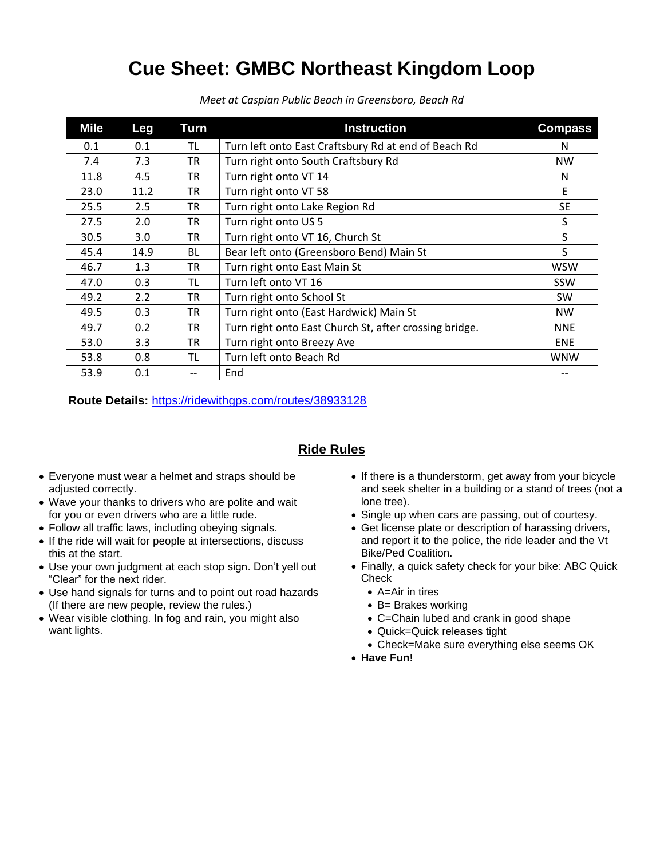## **Cue Sheet: GMBC Northeast Kingdom Loop**

| Mile | Leg  | Turn      | <b>Instruction</b>                                     | <b>Compass</b> |
|------|------|-----------|--------------------------------------------------------|----------------|
| 0.1  | 0.1  | TL        | Turn left onto East Craftsbury Rd at end of Beach Rd   | N              |
| 7.4  | 7.3  | <b>TR</b> | Turn right onto South Craftsbury Rd                    | <b>NW</b>      |
| 11.8 | 4.5  | <b>TR</b> | Turn right onto VT 14                                  | N              |
| 23.0 | 11.2 | TR        | Turn right onto VT 58                                  | F              |
| 25.5 | 2.5  | TR.       | Turn right onto Lake Region Rd                         | <b>SE</b>      |
| 27.5 | 2.0  | <b>TR</b> | Turn right onto US 5                                   | S              |
| 30.5 | 3.0  | <b>TR</b> | Turn right onto VT 16, Church St                       | S              |
| 45.4 | 14.9 | <b>BL</b> | Bear left onto (Greensboro Bend) Main St               | S              |
| 46.7 | 1.3  | TR.       | Turn right onto East Main St                           | <b>WSW</b>     |
| 47.0 | 0.3  | TL        | Turn left onto VT 16                                   | SSW            |
| 49.2 | 2.2  | <b>TR</b> | Turn right onto School St                              | <b>SW</b>      |
| 49.5 | 0.3  | <b>TR</b> | Turn right onto (East Hardwick) Main St                | <b>NW</b>      |
| 49.7 | 0.2  | TR.       | Turn right onto East Church St, after crossing bridge. | <b>NNE</b>     |
| 53.0 | 3.3  | <b>TR</b> | Turn right onto Breezy Ave                             | <b>ENE</b>     |
| 53.8 | 0.8  | ΤL        | Turn left onto Beach Rd                                | <b>WNW</b>     |
| 53.9 | 0.1  |           | End                                                    |                |

*Meet at Caspian Public Beach in Greensboro, Beach Rd*

**Route Details:** <https://ridewithgps.com/routes/38933128>

## **Ride Rules**

- Everyone must wear a helmet and straps should be adjusted correctly.
- Wave your thanks to drivers who are polite and wait for you or even drivers who are a little rude.
- Follow all traffic laws, including obeying signals.
- If the ride will wait for people at intersections, discuss this at the start.
- Use your own judgment at each stop sign. Don't yell out "Clear" for the next rider.
- Use hand signals for turns and to point out road hazards (If there are new people, review the rules.)
- Wear visible clothing. In fog and rain, you might also want lights.
- If there is a thunderstorm, get away from your bicycle and seek shelter in a building or a stand of trees (not a lone tree).
- Single up when cars are passing, out of courtesy.
- Get license plate or description of harassing drivers, and report it to the police, the ride leader and the Vt Bike/Ped Coalition.
- Finally, a quick safety check for your bike: ABC Quick **Check** 
	- A=Air in tires
	- B= Brakes working
	- C=Chain lubed and crank in good shape
	- Quick=Quick releases tight
	- Check=Make sure everything else seems OK
- **Have Fun!**